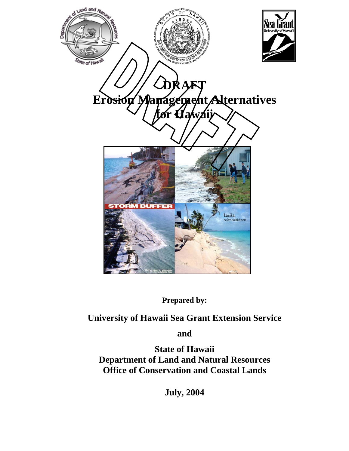

**Prepared by:** 

**University of Hawaii Sea Grant Extension Service**

**and** 

**State of Hawaii Department of Land and Natural Resources Office of Conservation and Coastal Lands** 

**July, 2004**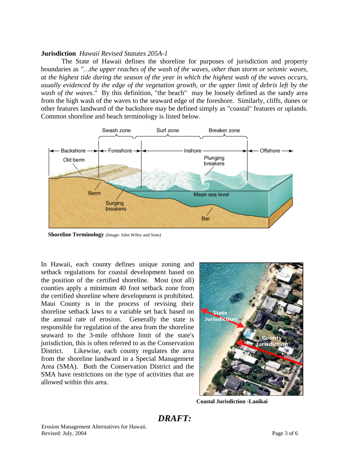## **Jurisdiction** *Hawaii Revised Statutes 205A-1*

The State of Hawaii defines the shoreline for purposes of jurisdiction and property boundaries as *"…the upper reaches of the wash of the waves, other than storm or seismic waves, at the highest tide during the season of the year in which the highest wash of the waves occurs, usually evidenced by the edge of the vegetation growth, or the upper limit of debris left by the wash of the waves."* By this definition, "the beach" may be loosely defined as the sandy area from the high wash of the waves to the seaward edge of the foreshore. Similarly, cliffs, dunes or other features landward of the backshore may be defined simply as "coastal" features or uplands. Common shoreline and beach terminology is listed below.



**Shoreline Terminology** (Image: John Wiley and Sons)

In Hawaii, each county defines unique zoning and setback regulations for coastal development based on the position of the certified shoreline. Most (not all) counties apply a minimum 40 foot setback zone from the certified shoreline where development is prohibited. Maui County is in the process of revising their shoreline setback laws to a variable set back based on the annual rate of erosion. Generally the state is responsible for regulation of the area from the shoreline seaward to the 3-mile offshore limit of the state's jurisdiction, this is often referred to as the Conservation District. Likewise, each county regulates the area from the shoreline landward in a Special Management Area (SMA). Both the Conservation District and the SMA have restrictions on the type of activities that are allowed within this area.



**Coastal Jurisdiction -Lanikai**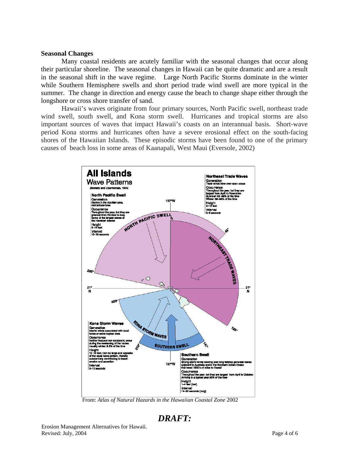### **Seasonal Changes**

Many coastal residents are acutely familiar with the seasonal changes that occur along their particular shoreline. The seasonal changes in Hawaii can be quite dramatic and are a result in the seasonal shift in the wave regime. Large North Pacific Storms dominate in the winter while Southern Hemisphere swells and short period trade wind swell are more typical in the summer. The change in direction and energy cause the beach to change shape either through the longshore or cross shore transfer of sand.

Hawaii's waves originate from four primary sources, North Pacific swell, northeast trade wind swell, south swell, and Kona storm swell. Hurricanes and tropical storms are also important sources of waves that impact Hawaii's coasts on an interannual basis. Short-wave period Kona storms and hurricanes often have a severe erosional effect on the south-facing shores of the Hawaiian Islands. These episodic storms have been found to one of the primary causes of beach loss in some areas of Kaanapali, West Maui (Eversole, 2002)



From: *Atlas of Natural Hazards in the Hawaiian Coastal Zone* 2002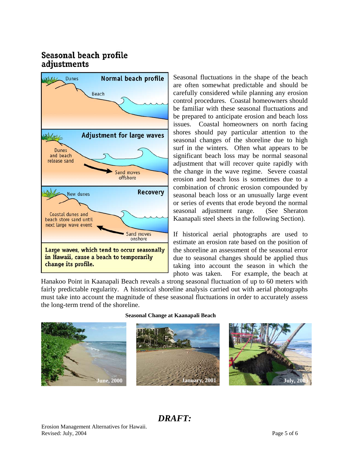# Seasonal beach profile adjustments



Seasonal fluctuations in the shape of the beach are often somewhat predictable and should be carefully considered while planning any erosion control procedures. Coastal homeowners should be familiar with these seasonal fluctuations and be prepared to anticipate erosion and beach loss issues. Coastal homeowners on north facing shores should pay particular attention to the seasonal changes of the shoreline due to high surf in the winters. Often what appears to be significant beach loss may be normal seasonal adjustment that will recover quite rapidly with the change in the wave regime. Severe coastal erosion and beach loss is sometimes due to a combination of chronic erosion compounded by seasonal beach loss or an unusually large event or series of events that erode beyond the normal seasonal adjustment range. (See Sheraton Kaanapali steel sheets in the following Section).

If historical aerial photographs are used to estimate an erosion rate based on the position of the shoreline an assessment of the seasonal error due to seasonal changes should be applied thus taking into account the season in which the photo was taken. For example, the beach at

Hanakoo Point in Kaanapali Beach reveals a strong seasonal fluctuation of up to 60 meters with fairly predictable regularity. A historical shoreline analysis carried out with aerial photographs must take into account the magnitude of these seasonal fluctuations in order to accurately assess the long-term trend of the shoreline.



#### **Seasonal Change at Kaanapali Beach**



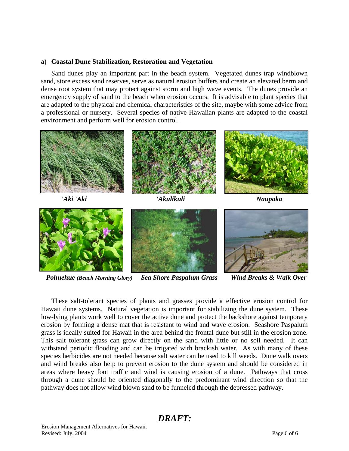## **a) Coastal Dune Stabilization, Restoration and Vegetation**

 Sand dunes play an important part in the beach system. Vegetated dunes trap windblown sand, store excess sand reserves, serve as natural erosion buffers and create an elevated berm and dense root system that may protect against storm and high wave events. The dunes provide an emergency supply of sand to the beach when erosion occurs. It is advisable to plant species that are adapted to the physical and chemical characteristics of the site, maybe with some advice from a professional or nursery. Several species of native Hawaiian plants are adapted to the coastal environment and perform well for erosion control.









*Pohuehue (Beach Morning Glory) Sea Shore Paspalum Grass Wind Breaks & Walk Over* 

 These salt-tolerant species of plants and grasses provide a effective erosion control for Hawaii dune systems. Natural vegetation is important for stabilizing the dune system. These low-lying plants work well to cover the active dune and protect the backshore against temporary erosion by forming a dense mat that is resistant to wind and wave erosion. Seashore Paspalum grass is ideally suited for Hawaii in the area behind the frontal dune but still in the erosion zone. This salt tolerant grass can grow directly on the sand with little or no soil needed. It can withstand periodic flooding and can be irrigated with brackish water. As with many of these species herbicides are not needed because salt water can be used to kill weeds. Dune walk overs and wind breaks also help to prevent erosion to the dune system and should be considered in areas where heavy foot traffic and wind is causing erosion of a dune. Pathways that cross through a dune should be oriented diagonally to the predominant wind direction so that the pathway does not allow wind blown sand to be funneled through the depressed pathway.